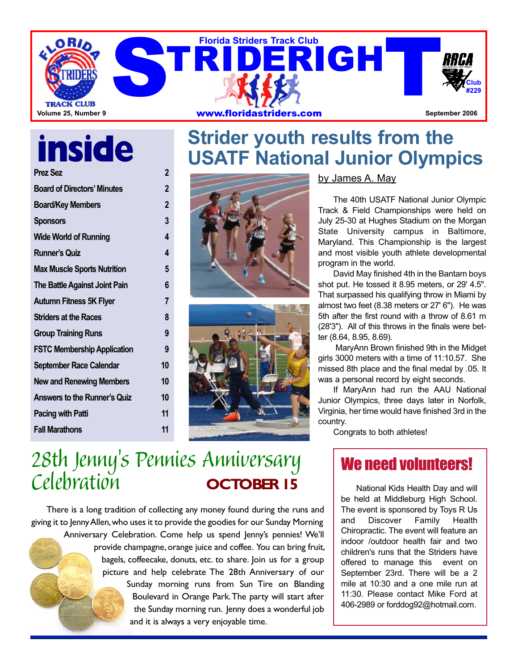

## **inside**

| <b>Prez Sez</b>                     | $\overline{2}$ |
|-------------------------------------|----------------|
| <b>Board of Directors' Minutes</b>  | $\mathbf 2$    |
| <b>Board/Key Members</b>            | $\overline{2}$ |
| <b>Sponsors</b>                     | 3              |
| <b>Wide World of Running</b>        | 4              |
| <b>Runner's Quiz</b>                | 4              |
| <b>Max Muscle Sports Nutrition</b>  | 5              |
| The Battle Against Joint Pain       | 6              |
| Autumn Fitness 5K Flyer             | $\overline{7}$ |
| <b>Striders at the Races</b>        | 8              |
| <b>Group Training Runs</b>          | 9              |
| <b>FSTC Membership Application</b>  | 9              |
| September Race Calendar             | 10             |
| <b>New and Renewing Members</b>     | 10             |
| <b>Answers to the Runner's Quiz</b> | 10             |
| <b>Pacing with Patti</b>            | 11             |
| <b>Fall Marathons</b>               | 11             |
|                                     |                |

### **Strider youth results from the USATF National Junior Olympics**





#### by James A. May

The 40th USATF National Junior Olympic Track & Field Championships were held on July 25-30 at Hughes Stadium on the Morgan State University campus in Baltimore, Maryland. This Championship is the largest and most visible youth athlete developmental program in the world.

David May finished 4th in the Bantam boys shot put. He tossed it 8.95 meters, or 29' 4.5". That surpassed his qualifying throw in Miami by almost two feet (8.38 meters or 27' 6"). He was 5th after the first round with a throw of 8.61 m (28'3"). All of this throws in the finals were better (8.64, 8.95, 8.69).

MaryAnn Brown finished 9th in the Midget girls 3000 meters with a time of 11:10.57. She missed 8th place and the final medal by .05. It was a personal record by eight seconds.

If MaryAnn had run the AAU National Junior Olympics, three days later in Norfolk, Virginia, her time would have finished 3rd in the country.

Congrats to both athletes!

# 28th Jenny's Pennies Anniversary Celebration **OCTOBER15**

There is a long tradition of collecting any money found during the runs and giving it to JennyAllen,who uses it to provide the goodies for our Sunday Morning Anniversary Celebration. Come help us spend Jenny's pennies! We'll provide champagne, orange juice and coffee. You can bring fruit, bagels, coffeecake, donuts, etc. to share. Join us for a group picture and help celebrate The 28th Anniversary of our Sunday morning runs from Sun Tire on Blanding Boulevard in Orange Park.The party will start after the Sunday morning run. Jenny does a wonderful job and it is always a very enjoyable time.

### We need volunteers!

National Kids Health Day and will be held at Middleburg High School. The event is sponsored by Toys R Us and Discover Family Health Chiropractic. The event will feature an indoor /outdoor health fair and two children's runs that the Striders have offered to manage this event on September 23rd. There will be a 2 mile at 10:30 and a one mile run at 11:30. Please contact Mike Ford at 406-2989 or forddog92@hotmail.com.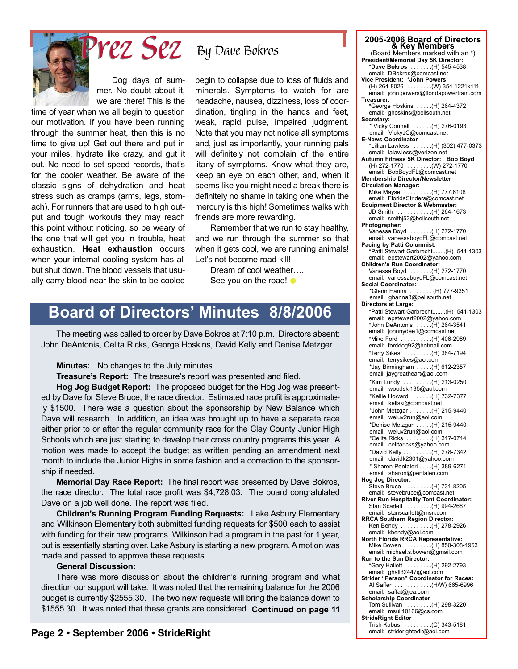

### By Dave Bokros

Dog days of summer. No doubt about it, we are there! This is the

time of year when we all begin to question our motivation. If you have been running through the summer heat, then this is no time to give up! Get out there and put in your miles, hydrate like crazy, and gut it out. No need to set speed records, that's for the cooler weather. Be aware of the classic signs of dehydration and heat stress such as cramps (arms, legs, stomach). For runners that are used to high output and tough workouts they may reach this point without noticing, so be weary of the one that will get you in trouble, heat exhaustion. **Heat exhaustion** occurs when your internal cooling system has all but shut down. The blood vessels that usually carry blood near the skin to be cooled

begin to collapse due to loss of fluids and minerals. Symptoms to watch for are headache, nausea, dizziness, loss of coordination, tingling in the hands and feet, weak, rapid pulse, impaired judgment. Note that you may not notice all symptoms and, just as importantly, your running pals will definitely not complain of the entire litany of symptoms. Know what they are, keep an eye on each other, and, when it seems like you might need a break there is definitely no shame in taking one when the mercury is this high! Sometimes walks with friends are more rewarding.

Remember that we run to stay healthy, and we run through the summer so that when it gets cool, we are running animals! Let's not become road-kill!

Dream of cool weather….

See you on the road!  $\bullet$ 

### **Board of Directors' Minutes 8/8/2006**

The meeting was called to order by Dave Bokros at 7:10 p.m. Directors absent: John DeAntonis, Celita Ricks, George Hoskins, David Kelly and Denise Metzger

#### **Minutes:** No changes to the July minutes.

**Treasure's Report:** The treasure's report was presented and filed.

**Hog Jog Budget Report:** The proposed budget for the Hog Jog was presented by Dave for Steve Bruce, the race director. Estimated race profit is approximately \$1500. There was a question about the sponsorship by New Balance which Dave will research. In addition, an idea was brought up to have a separate race either prior to or after the regular community race for the Clay County Junior High Schools which are just starting to develop their cross country programs this year. A motion was made to accept the budget as written pending an amendment next month to include the Junior Highs in some fashion and a correction to the sponsorship if needed.

**Memorial Day Race Report:** The final report was presented by Dave Bokros, the race director. The total race profit was \$4,728.03. The board congratulated Dave on a job well done. The report was filed.

**Children's Running Program Funding Requests:** Lake Asbury Elementary and Wilkinson Elementary both submitted funding requests for \$500 each to assist with funding for their new programs. Wilkinson had a program in the past for 1 year, but is essentially starting over. Lake Asbury is starting a new program. A motion was made and passed to approve these requests.

#### **General Discussion:**

There was more discussion about the children's running program and what direction our support will take. It was noted that the remaining balance for the 2006 budget is currently \$2555.30. The two new requests will bring the balance down to \$1555.30. It was noted that these grants are considered **Continued on page 11**

| 2005-2006 Board of Directors                                              |
|---------------------------------------------------------------------------|
| & Key Members<br>(Board Members marked with an *)                         |
| President/Memorial Day 5K Director:                                       |
| <b>*Dave Bokros</b> (H) 545-4538<br>email: DBokros@comcast.net            |
| Vice President: *John Powers                                              |
| (H) 264-8026 (W) 354-1221x111                                             |
| email: john.powers@floridapowertrain.com<br>Treasurer:                    |
| *George Hoskins  (H) 264-4372                                             |
| email: ghoskins@bellsouth.net                                             |
| Secretarv:<br>H) 276-0193 (H) 276-0193                                    |
| email: VickyJC@comcast.net                                                |
| <b>E-News Coordinator</b>                                                 |
| *Lillian Lawless  (H) (302) 477-0373<br>email: lalawless@verizon.net      |
| Autumn Fitness 5K Director: Bob Boyd                                      |
| (H) 272-1770 (W) 272-1770<br>email: BobBoydFL@comcast.net                 |
| <b>Membership Director/Newsletter</b>                                     |
| <b>Circulation Manager:</b>                                               |
| H) 777.6108 (H) 777.6108<br>email: FloridaStriders@comcast.net            |
| <b>Equipment Director &amp; Webmaster:</b>                                |
| JD Smith (H) 264-1673                                                     |
| email: smithj53@bellsouth.net<br>Photographer:                            |
| Vanessa Boyd (H) 272-1770                                                 |
| email: vanessaboydFL@comcast.net                                          |
| <b>Pacing by Patti Columnist:</b><br>*Patti Stewart-Garbrecht(H) 541-1303 |
| email: epstewart2002@yahoo.com                                            |
| <b>Children's Run Coordinator:</b>                                        |
| Vanessa Boyd  (H) 272-1770<br>email: vanessaboydFL@comcast.net            |
| <b>Social Coordinator:</b>                                                |
| *Glenn Hanna  (H) 777-9351<br>email: ghanna3@bellsouth.net                |
| Directors at Large:                                                       |
| *Patti Stewart-Garbrecht(H) 541-1303                                      |
| email: epstewart2002@yahoo.com<br>H) 264-3541 (H) 264-3541                |
| email: johnnydee1@comcast.net                                             |
| *Mike Ford (H) 406-2989                                                   |
| email: forddog92@hotmail.com<br>*Terry Sikes  (H) 384-7194                |
| email: terrysikes@aol.com                                                 |
| *Jay Birmingham  (H) 612-2357                                             |
| email: jaygreatheart@aol.com                                              |
| *Kim Lundy (H) 213-0250<br>email: woodski135@aol.com                      |
| *Kellie Howard  (H) 732-7377                                              |
| email: kellski@comcast.net                                                |
| *John Metzgar (H) 215-9440<br>email: weluv2run@aol.com                    |
| *Denise Metzgar (H) 215-9440                                              |
| email: weluv2run@aol.com                                                  |
| *Celita Ricks (H) 317-0714<br>email: celitaricks@yahoo.com                |
| *David Kelly (H) 278-7342                                                 |
| email: davidk2301@yahoo.com                                               |
| * Sharon Pentaleri (H) 389-6271<br>email: sharon@pentaleri.com            |
| Hog Jog Director:                                                         |
| Steve Bruce<br>. (H) 731-8205                                             |
| email: stevebruce@comcast.net<br>River Run Hospitality Tent Coordinator:  |
| Stan Scarlett  (H) 994-2687                                               |
| email: stanscarlett@msn.com<br><b>RRCA Southern Region Director:</b>      |
| Ken Bendy (H) 278-2926                                                    |
| email: kbendy@aol.com                                                     |
| <b>North Florida RRCA Representative:</b><br>Mike Bowen (H) 850-308-1953  |
| email: michael.s.bowen@gmail.com                                          |
| Run to the Sun Director:                                                  |
| *Gary Hallett (H) 292-2793<br>email: ghall32447@aol.com                   |
| <b>Strider "Person" Coordinator for Races:</b>                            |
| Al Saffer (H/W) 665-6996<br>email: saffat@jea.com                         |
| <b>Scholarship Coordinator</b>                                            |
| Tom Sullivan (H) 298-3220                                                 |
| email: msull10166@cs.com<br><b>StrideRight Editor</b>                     |

Trish Kabus . . . . . . . . . . (C) 343-5181<br>email: striderightedit@aol.com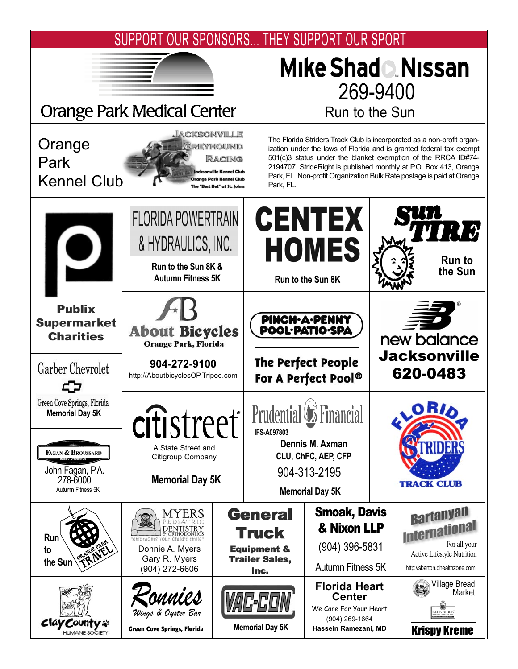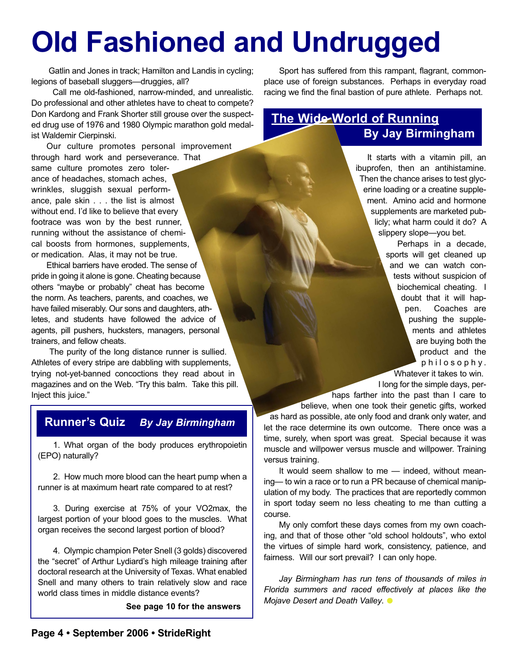## **Old Fashioned and Undrugged**

Gatlin and Jones in track; Hamilton and Landis in cycling; legions of baseball sluggers—druggies, all?

Call me old-fashioned, narrow-minded, and unrealistic. Do professional and other athletes have to cheat to compete? Don Kardong and Frank Shorter still grouse over the suspected drug use of 1976 and 1980 Olympic marathon gold medalist Waldemir Cierpinski.

Our culture promotes personal improvement through hard work and perseverance. That same culture promotes zero toler-

ance of headaches, stomach aches, wrinkles, sluggish sexual performance, pale skin . . . the list is almost without end. I'd like to believe that every footrace was won by the best runner, running without the assistance of chemical boosts from hormones, supplements, or medication. Alas, it may not be true.

Ethical barriers have eroded. The sense of pride in going it alone is gone. Cheating because others "maybe or probably" cheat has become the norm. As teachers, parents, and coaches, we have failed miserably. Our sons and daughters, athletes, and students have followed the advice of agents, pill pushers, hucksters, managers, personal trainers, and fellow cheats.

The purity of the long distance runner is sullied. Athletes of every stripe are dabbling with supplements, trying not-yet-banned concoctions they read about in magazines and on the Web. "Try this balm. Take this pill. Inject this juice."

#### **Runner's Quiz** *By Jay Birmingham*

1. What organ of the body produces erythropoietin (EPO) naturally?

2. How much more blood can the heart pump when a runner is at maximum heart rate compared to at rest?

3. During exercise at 75% of your VO2max, the largest portion of your blood goes to the muscles. What organ receives the second largest portion of blood?

4. Olympic champion Peter Snell (3 golds) discovered the "secret" of Arthur Lydiard's high mileage training after doctoral research at the University of Texas. What enabled Snell and many others to train relatively slow and race world class times in middle distance events?

**See page 10 for the answers**

Sport has suffered from this rampant, flagrant, commonplace use of foreign substances. Perhaps in everyday road racing we find the final bastion of pure athlete. Perhaps not.

### **The Wide World of Running By Jay Birmingham**

It starts with a vitamin pill, an ibuprofen, then an antihistamine. Then the chance arises to test glycerine loading or a creatine supplement. Amino acid and hormone supplements are marketed publicly; what harm could it do? A slippery slope—you bet.

> Perhaps in a decade, sports will get cleaned up and we can watch contests without suspicion of biochemical cheating. I doubt that it will happen. Coaches are pushing the supplements and athletes are buying both the product and the p h i l o s o p h y . Whatever it takes to win.

I long for the simple days, per-

haps farther into the past than I care to believe, when one took their genetic gifts, worked

as hard as possible, ate only food and drank only water, and let the race determine its own outcome. There once was a time, surely, when sport was great. Special because it was muscle and willpower versus muscle and willpower. Training versus training.

It would seem shallow to me — indeed, without meaning— to win a race or to run a PR because of chemical manipulation of my body. The practices that are reportedly common in sport today seem no less cheating to me than cutting a course.

My only comfort these days comes from my own coaching, and that of those other "old school holdouts", who extol the virtues of simple hard work, consistency, patience, and fairness. Will our sort prevail? I can only hope.

*Jay Birmingham has run tens of thousands of miles in Florida summers and raced effectively at places like the Mojave Desert and Death Valley*.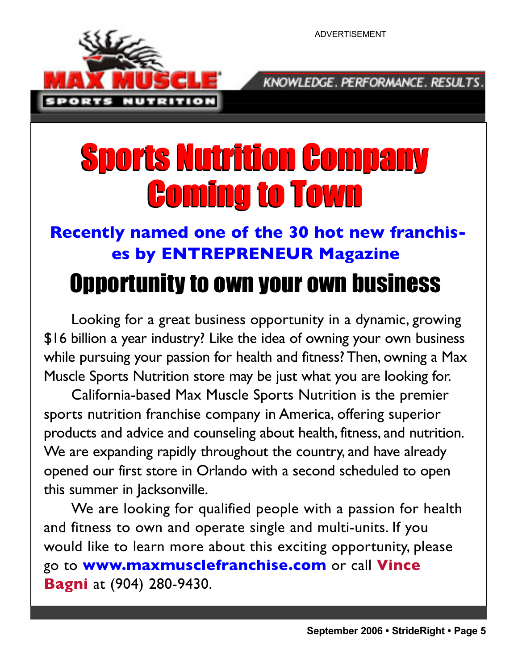NUTRITION

ADVERTISEMENT

KNOWLEDGE. PERFORMANCE. RESULTS.

## Sports Nutrition Company Sports Nutrition Company Coming to Town Coming to Town

## **Recently named one of the 30 hot new franchises by ENTREPRENEUR Magazine**

## Opportunity to own your own business

Looking for a great business opportunity in a dynamic, growing \$16 billion a year industry? Like the idea of owning your own business while pursuing your passion for health and fitness? Then, owning a Max Muscle Sports Nutrition store may be just what you are looking for.

California-based Max Muscle Sports Nutrition is the premier sports nutrition franchise company in America, offering superior products and advice and counseling about health, fitness, and nutrition. We are expanding rapidly throughout the country, and have already opened our first store in Orlando with a second scheduled to open this summer in Jacksonville.

We are looking for qualified people with a passion for health and fitness to own and operate single and multi-units. If you would like to learn more about this exciting opportunity, please go to **www.maxmusclefranchise.com** or call **Vince Bagni** at (904) 280-9430.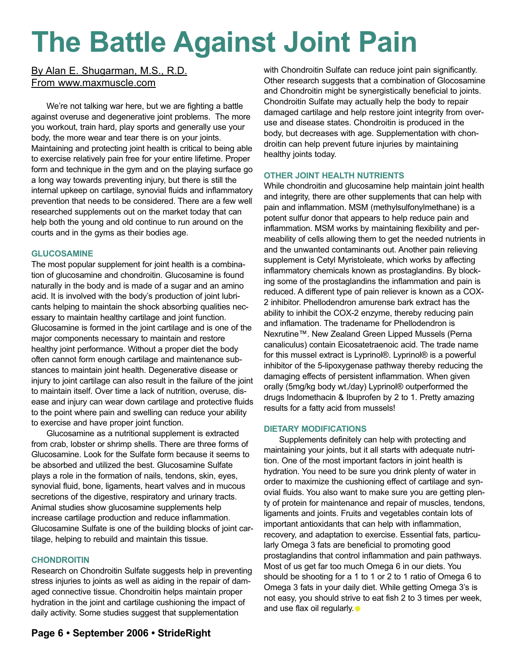## **The Battle Against Joint Pain**

#### By Alan E. Shugarman, M.S., R.D. From www.maxmuscle.com

We're not talking war here, but we are fighting a battle against overuse and degenerative joint problems. The more you workout, train hard, play sports and generally use your body, the more wear and tear there is on your joints. Maintaining and protecting joint health is critical to being able to exercise relatively pain free for your entire lifetime. Proper form and technique in the gym and on the playing surface go a long way towards preventing injury, but there is still the internal upkeep on cartilage, synovial fluids and inflammatory prevention that needs to be considered. There are a few well researched supplements out on the market today that can help both the young and old continue to run around on the courts and in the gyms as their bodies age.

#### **GLUCOSAMINE**

The most popular supplement for joint health is a combination of glucosamine and chondroitin. Glucosamine is found naturally in the body and is made of a sugar and an amino acid. It is involved with the body's production of joint lubricants helping to maintain the shock absorbing qualities necessary to maintain healthy cartilage and joint function. Glucosamine is formed in the joint cartilage and is one of the major components necessary to maintain and restore healthy joint performance. Without a proper diet the body often cannot form enough cartilage and maintenance substances to maintain joint health. Degenerative disease or injury to joint cartilage can also result in the failure of the joint to maintain itself. Over time a lack of nutrition, overuse, disease and injury can wear down cartilage and protective fluids to the point where pain and swelling can reduce your ability to exercise and have proper joint function.

Glucosamine as a nutritional supplement is extracted from crab, lobster or shrimp shells. There are three forms of Glucosamine. Look for the Sulfate form because it seems to be absorbed and utilized the best. Glucosamine Sulfate plays a role in the formation of nails, tendons, skin, eyes, synovial fluid, bone, ligaments, heart valves and in mucous secretions of the digestive, respiratory and urinary tracts. Animal studies show glucosamine supplements help increase cartilage production and reduce inflammation. Glucosamine Sulfate is one of the building blocks of joint cartilage, helping to rebuild and maintain this tissue.

#### **CHONDROITIN**

Research on Chondroitin Sulfate suggests help in preventing stress injuries to joints as well as aiding in the repair of damaged connective tissue. Chondroitin helps maintain proper hydration in the joint and cartilage cushioning the impact of daily activity. Some studies suggest that supplementation

with Chondroitin Sulfate can reduce joint pain significantly. Other research suggests that a combination of Glocosamine and Chondroitin might be synergistically beneficial to joints. Chondroitin Sulfate may actually help the body to repair damaged cartilage and help restore joint integrity from overuse and disease states. Chondroitin is produced in the body, but decreases with age. Supplementation with chondroitin can help prevent future injuries by maintaining healthy joints today.

#### **OTHER JOINT HEALTH NUTRIENTS**

While chondroitin and glucosamine help maintain joint health and integrity, there are other supplements that can help with pain and inflammation. MSM (methylsulfonylmethane) is a potent sulfur donor that appears to help reduce pain and inflammation. MSM works by maintaining flexibility and permeability of cells allowing them to get the needed nutrients in and the unwanted contaminants out. Another pain relieving supplement is Cetyl Myristoleate, which works by affecting inflammatory chemicals known as prostaglandins. By blocking some of the prostaglandins the inflammation and pain is reduced. A different type of pain reliever is known as a COX-2 inhibitor. Phellodendron amurense bark extract has the ability to inhibit the COX-2 enzyme, thereby reducing pain and inflamation. The tradename for Phellodendron is Nexrutine™. New Zealand Green Lipped Mussels (Perna canaliculus) contain Eicosatetraenoic acid. The trade name for this mussel extract is Lyprinol®. Lyprinol® is a powerful inhibitor of the 5-lipoxygenase pathway thereby reducing the damaging effects of persistent inflammation. When given orally (5mg/kg body wt./day) Lyprinol® outperformed the drugs Indomethacin & Ibuprofen by 2 to 1. Pretty amazing results for a fatty acid from mussels!

#### **DIETARY MODIFICATIONS**

Supplements definitely can help with protecting and maintaining your joints, but it all starts with adequate nutrition. One of the most important factors in joint health is hydration. You need to be sure you drink plenty of water in order to maximize the cushioning effect of cartilage and synovial fluids. You also want to make sure you are getting plenty of protein for maintenance and repair of muscles, tendons, ligaments and joints. Fruits and vegetables contain lots of important antioxidants that can help with inflammation, recovery, and adaptation to exercise. Essential fats, particularly Omega 3 fats are beneficial to promoting good prostaglandins that control inflammation and pain pathways. Most of us get far too much Omega 6 in our diets. You should be shooting for a 1 to 1 or 2 to 1 ratio of Omega 6 to Omega 3 fats in your daily diet. While getting Omega 3's is not easy, you should strive to eat fish 2 to 3 times per week, and use flax oil regularly.  $\bullet$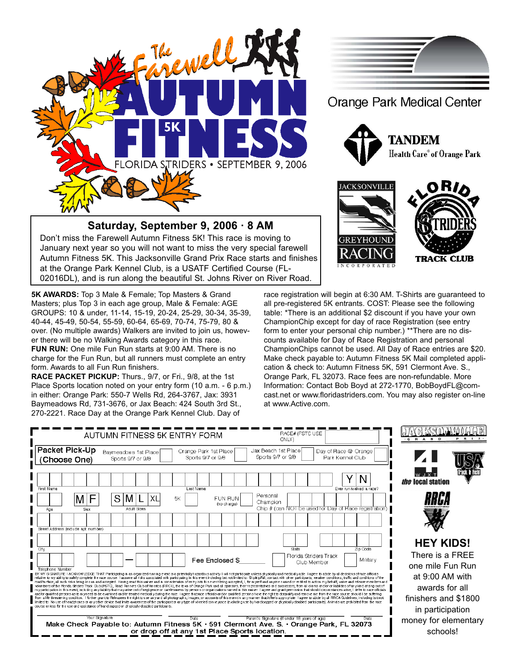

at the Orange Park Kennel Club, is a USATF Certified Course (FL-02016DL), and is run along the beautiful St. Johns River on River Road.

**5K AWARDS:** Top 3 Male & Female; Top Masters & Grand Masters; plus Top 3 in each age group, Male & Female: AGE GROUPS: 10 & under, 11-14, 15-19, 20-24, 25-29, 30-34, 35-39, 40-44, 45-49, 50-54, 55-59, 60-64, 65-69, 70-74, 75-79, 80 & over. (No multiple awards) Walkers are invited to join us, however there will be no Walking Awards category in this race. **FUN RUN:** One mile Fun Run starts at 9:00 AM. There is no charge for the Fun Run, but all runners must complete an entry

**RACE PACKET PICKUP:** Thurs., 9/7, or Fri., 9/8, at the 1st Place Sports location noted on your entry form (10 a.m. - 6 p.m.) in either: Orange Park: 550-7 Wells Rd, 264-3767, Jax: 3931 Baymeadows Rd, 731-3676, or Jax Beach: 424 South 3rd St., 270-2221. Race Day at the Orange Park Kennel Club. Day of

form. Awards to all Fun Run finishers.

**Saturday, September 9, 2006 · 8 AM** Don't miss the Farewell Autumn Fitness 5K! This race is moving to January next year so you will not want to miss the very special farewell Autumn Fitness 5K. This Jacksonville Grand Prix Race starts and finishes TRACK CLUB

Health Care<sup>®</sup> of Orange Park

**Orange Park Medical Center** 

**TANDEM** 

race registration will begin at 6:30 AM. T-Shirts are guaranteed to all pre-registered 5K entrants. COST: Please see the following table: \*There is an additional \$2 discount if you have your own ChampionChip except for day of race Registration (see entry form to enter your personal chip number.) \*\*There are no discounts available for Day of Race Registration and personal ChampionChips cannot be used. All Day of Race entries are \$20. Make check payable to: Autumn Fitness 5K Mail completed application & check to: Autumn Fitness 5K, 591 Clermont Ave. S., Orange Park, FL 32073. Race fees are non-refundable. More Information: Contact Bob Boyd at 272-1770, BobBoydFL@comcast.net or www.floridastriders.com. You may also register on-line at www.Active.com.

**ACKSONVILLE** 

| AUTUMN FITNESS 5K ENTRY FORM                                                                                                                                                                                                                                                                                                                                                                                                                                                                                                                                                                                                                                                                                                                                                                                                                                                                                                                                                                                                                                                                                                                                                                                                                                                                                                                                                                             |                                                       | RACE# (FSTC USE<br>ONLY)                                                      |                                          | R A N D                                  |
|----------------------------------------------------------------------------------------------------------------------------------------------------------------------------------------------------------------------------------------------------------------------------------------------------------------------------------------------------------------------------------------------------------------------------------------------------------------------------------------------------------------------------------------------------------------------------------------------------------------------------------------------------------------------------------------------------------------------------------------------------------------------------------------------------------------------------------------------------------------------------------------------------------------------------------------------------------------------------------------------------------------------------------------------------------------------------------------------------------------------------------------------------------------------------------------------------------------------------------------------------------------------------------------------------------------------------------------------------------------------------------------------------------|-------------------------------------------------------|-------------------------------------------------------------------------------|------------------------------------------|------------------------------------------|
| <b>Packet Pick-Up</b><br>Baymeadows 1st Place<br>Sports 9/7 or 9/8<br>(Choose One)                                                                                                                                                                                                                                                                                                                                                                                                                                                                                                                                                                                                                                                                                                                                                                                                                                                                                                                                                                                                                                                                                                                                                                                                                                                                                                                       | Orange Park 1st Place<br>Sports 9/7 or 9/8            | Jax Beach 1st Place<br>Sports 9/7 or 9/8                                      | Day of Race @ Orange<br>Park Kennel Club |                                          |
| First Name                                                                                                                                                                                                                                                                                                                                                                                                                                                                                                                                                                                                                                                                                                                                                                                                                                                                                                                                                                                                                                                                                                                                                                                                                                                                                                                                                                                               | Last Name                                             |                                                                               | Ever run /walked a race?                 | the local station                        |
| S<br>Χl<br>IM⊺F<br>IM.<br>Adult Sizes<br>Sex<br>Age                                                                                                                                                                                                                                                                                                                                                                                                                                                                                                                                                                                                                                                                                                                                                                                                                                                                                                                                                                                                                                                                                                                                                                                                                                                                                                                                                      | 5K<br>FUN RUN<br>(no charge)                          | Personal<br>Champion<br>Chip # (can NOT be used for Day of Hace registration) |                                          |                                          |
| Street Address (include apt. number)                                                                                                                                                                                                                                                                                                                                                                                                                                                                                                                                                                                                                                                                                                                                                                                                                                                                                                                                                                                                                                                                                                                                                                                                                                                                                                                                                                     |                                                       |                                                                               |                                          |                                          |
| City                                                                                                                                                                                                                                                                                                                                                                                                                                                                                                                                                                                                                                                                                                                                                                                                                                                                                                                                                                                                                                                                                                                                                                                                                                                                                                                                                                                                     |                                                       | State                                                                         | Zip Code                                 | <b>HEY KIDS!</b>                         |
| Telephone Number                                                                                                                                                                                                                                                                                                                                                                                                                                                                                                                                                                                                                                                                                                                                                                                                                                                                                                                                                                                                                                                                                                                                                                                                                                                                                                                                                                                         | Fee Enclosed \$                                       | Florida Striders Track<br>Club Member                                         | Military                                 | There is a FREE<br>one mile Fun Run      |
| BY MY SIGNATUFE I ACKNOWLEDGE THAT: Participating in an organized running event is a potentiallyhazardous activity I will not participate unless physically and medically able. I agree to abide by all decisions of race offi<br>relative to my ability to safely complete the race course. I assume all risks associated with participating in this event including but not limited to: Sip/trip/fall, contact with other participants, weather conditions, tr<br>road/surface, all such risks being known and accepted. Having read this waiver and in consideration of entry into this event being accepted. I, for miself and anyone named or entitled to act on my behalf, waive and release<br>volunteers of the Rorida Striders Track Qub (FSTQ, Road Runners Qub of America (RRCA), the town of Orange Park and all sponsors, their representatives and successors, from all claims and/or or liabilities of any kind arisi<br>my participation in this event, including anyliability that may arise out of negligence or carelessness by persons or organizations named in this waiver. I agree and grant permission that should circum stances arise, I def<br>and/or qualifed persons as to myneed to be examined and/or treated medically during the race. I agree that race officials and/or qualified persons have the right to disqualify and remove me from the race course should I be |                                                       |                                                                               |                                          | at 9:00 AM with<br>awards for all        |
| from a life threatening condition. I further grant to Releasees the right to use anyand all photographs, images, or accounts of this event in anymanner that it feels appropriate. I agree to abide by all RRCA Quidelines, in<br>limited to: No use of headphones or an vother device that limits awareness of the participant or any type of wheeled conveyance (excluding use by handicapped or physicall vidisabled participants). Animals are prohibited fr<br>course unless for the use and assistance of handicapped or physically disabled participants                                                                                                                                                                                                                                                                                                                                                                                                                                                                                                                                                                                                                                                                                                                                                                                                                                          |                                                       |                                                                               |                                          | finishers and \$1800<br>in participation |
| Your Signature<br>Make Check Payable to: Autumn Fitness 5K · 591 Clermont Ave. S. · Orange Park, FL 32073                                                                                                                                                                                                                                                                                                                                                                                                                                                                                                                                                                                                                                                                                                                                                                                                                                                                                                                                                                                                                                                                                                                                                                                                                                                                                                | Date<br>or drop off at any 1st Place Sports location. | Parent's Signature (if under 18 years of age)                                 |                                          | money for elementary<br>schools!         |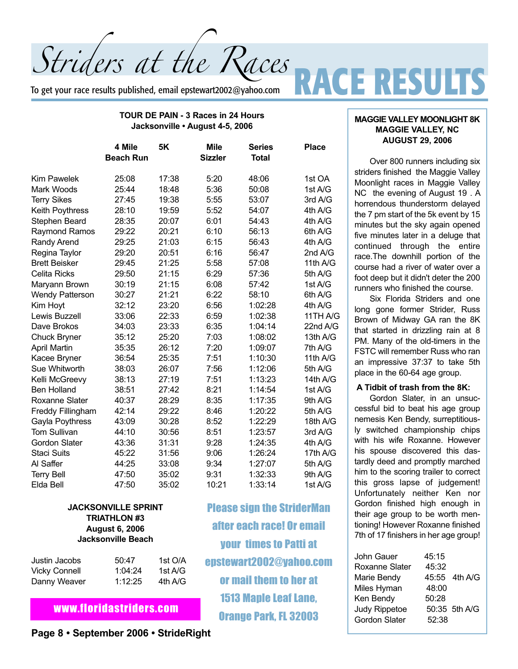#### **TOUR DE PAIN - 3 Races in 24 Hours Jacksonville • August 4-5, 2006**

|                        | 4 Mile           | <b>5K</b> | <b>Mile</b>    | <b>Series</b> | <b>Place</b> |
|------------------------|------------------|-----------|----------------|---------------|--------------|
|                        | <b>Beach Run</b> |           | <b>Sizzler</b> | <b>Total</b>  |              |
| <b>Kim Pawelek</b>     | 25:08            | 17:38     | 5:20           | 48:06         | 1st OA       |
| Mark Woods             | 25:44            | 18:48     | 5:36           | 50:08         | 1st A/G      |
| <b>Terry Sikes</b>     | 27:45            | 19:38     | 5:55           | 53:07         | 3rd A/G      |
| Keith Poythress        | 28:10            | 19:59     | 5:52           | 54:07         | 4th A/G      |
| Stephen Beard          | 28:35            | 20:07     | 6:01           | 54:43         | 4th A/G      |
| Raymond Ramos          | 29:22            | 20:21     | 6:10           | 56:13         | 6th A/G      |
| Randy Arend            | 29:25            | 21:03     | 6:15           | 56:43         | 4th A/G      |
| Regina Taylor          | 29:20            | 20:51     | 6:16           | 56:47         | 2nd A/G      |
| <b>Brett Beisker</b>   | 29:45            | 21:25     | 5:58           | 57:08         | 11th A/G     |
| <b>Celita Ricks</b>    | 29:50            | 21:15     | 6:29           | 57:36         | 5th A/G      |
| Maryann Brown          | 30:19            | 21:15     | 6:08           | 57:42         | 1st A/G      |
| <b>Wendy Patterson</b> | 30:27            | 21:21     | 6:22           | 58:10         | 6th A/G      |
| Kim Hoyt               | 32:12            | 23:20     | 6:56           | 1:02:28       | 4th A/G      |
| Lewis Buzzell          | 33:06            | 22:33     | 6:59           | 1:02:38       | 11TH A/G     |
| Dave Brokos            | 34:03            | 23:33     | 6:35           | 1:04:14       | 22nd A/G     |
| <b>Chuck Bryner</b>    | 35:12            | 25:20     | 7:03           | 1:08:02       | 13th A/G     |
| <b>April Martin</b>    | 35:35            | 26:12     | 7:20           | 1:09:07       | 7th A/G      |
| Kacee Bryner           | 36:54            | 25:35     | 7:51           | 1:10:30       | 11th A/G     |
| Sue Whitworth          | 38:03            | 26:07     | 7:56           | 1:12:06       | 5th A/G      |
| Kelli McGreevy         | 38:13            | 27:19     | 7:51           | 1:13:23       | 14th A/G     |
| <b>Ben Holland</b>     | 38:51            | 27:42     | 8:21           | 1:14:54       | 1st A/G      |
| Roxanne Slater         | 40:37            | 28:29     | 8:35           | 1:17:35       | 9th A/G      |
| Freddy Fillingham      | 42:14            | 29:22     | 8:46           | 1:20:22       | 5th A/G      |
| Gayla Poythress        | 43:09            | 30:28     | 8:52           | 1:22:29       | 18th A/G     |
| <b>Tom Sullivan</b>    | 44:10            | 30:56     | 8:51           | 1:23:57       | 3rd A/G      |
| Gordon Slater          | 43:36            | 31:31     | 9:28           | 1:24:35       | 4th A/G      |
| <b>Staci Suits</b>     | 45:22            | 31:56     | 9:06           | 1:26:24       | 17th A/G     |
| Al Saffer              | 44:25            | 33:08     | 9:34           | 1:27:07       | 5th A/G      |
| <b>Terry Bell</b>      | 47:50            | 35:02     | 9:31           | 1:32:33       | 9th A/G      |
| Elda Bell              | 47:50            | 35:02     | 10:21          | 1:33:14       | 1st A/G      |

Please sign the StriderMan

after each race! Or email

your times to Patti at

epstewart2002@yahoo.com

or mail them to her at

1513 Maple Leaf Lane,

#### **JACKSONVILLE SPRINT TRIATHLON #3 August 6, 2006 Jacksonville Beach**

| Justin Jacobs        | 50:47   | 1st O/A |
|----------------------|---------|---------|
| <b>Vicky Connell</b> | 1:04:24 | 1st A/G |
| Danny Weaver         | 1:12:25 | 4th A/G |

### Orange Park, FL <sup>32003</sup> www.floridastriders.com

*RACE RESULTS ALL LIVE / QUES*<br>To get your race results published, email epstewart2002@yahoo.com<br> **RACE RESULTS** 

#### **MAGGIE VALLEY MOONLIGHT 8K MAGGIE VALLEY, NC AUGUST 29, 2006**

Over 800 runners including six striders finished the Maggie Valley Moonlight races in Maggie Valley NC the evening of August 19 . A horrendous thunderstorm delayed the 7 pm start of the 5k event by 15 minutes but the sky again opened five minutes later in a deluge that continued through the entire race.The downhill portion of the course had a river of water over a foot deep but it didn't deter the 200 runners who finished the course.

Six Florida Striders and one long gone former Strider, Russ Brown of Midway GA ran the 8K that started in drizzling rain at 8 PM. Many of the old-timers in the FSTC will remember Russ who ran an impressive 37:37 to take 5th place in the 60-64 age group.

#### **A Tidbit of trash from the 8K:**

Gordon Slater, in an unsuccessful bid to beat his age group nemesis Ken Bendy, surreptitiously switched championship chips with his wife Roxanne. However his spouse discovered this dastardly deed and promptly marched him to the scoring trailer to correct this gross lapse of judgement! Unfortunately neither Ken nor Gordon finished high enough in their age group to be worth mentioning! However Roxanne finished 7th of 17 finishers in her age group!

| John Gauer           | 45:15 |               |
|----------------------|-------|---------------|
| Roxanne Slater       | 45:32 |               |
| Marie Bendy          |       | 45:55 4th A/G |
| Miles Hyman          | 48:00 |               |
| Ken Bendy            | 50:28 |               |
| <b>Judy Rippetoe</b> |       | 50:35 5th A/G |
| Gordon Slater        | 52:38 |               |
|                      |       |               |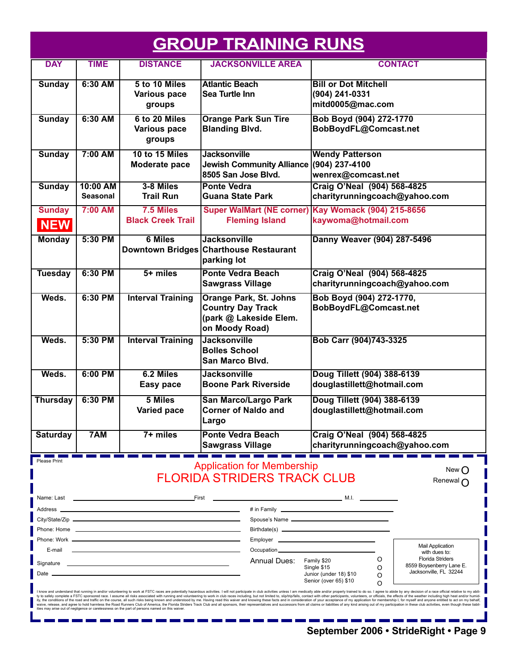|                             |                             |                                                                                                                                                                                                                                      | <b>GROUP TRAINING RUNS</b>                                                                            |                                                                                                                                                                                                                                                                                                                                                                                                                                                                                                                                                                                                                                                                                                                                                                                                                                                                                                                                                                              |  |
|-----------------------------|-----------------------------|--------------------------------------------------------------------------------------------------------------------------------------------------------------------------------------------------------------------------------------|-------------------------------------------------------------------------------------------------------|------------------------------------------------------------------------------------------------------------------------------------------------------------------------------------------------------------------------------------------------------------------------------------------------------------------------------------------------------------------------------------------------------------------------------------------------------------------------------------------------------------------------------------------------------------------------------------------------------------------------------------------------------------------------------------------------------------------------------------------------------------------------------------------------------------------------------------------------------------------------------------------------------------------------------------------------------------------------------|--|
| <b>DAY</b>                  | <b>TIME</b>                 | <b>DISTANCE</b>                                                                                                                                                                                                                      | <b>JACKSONVILLE AREA</b>                                                                              | <b>CONTACT</b>                                                                                                                                                                                                                                                                                                                                                                                                                                                                                                                                                                                                                                                                                                                                                                                                                                                                                                                                                               |  |
| <b>Sunday</b>               | 6:30 AM                     | 5 to 10 Miles<br>Various pace<br>groups                                                                                                                                                                                              | <b>Atlantic Beach</b><br>Sea Turtle Inn                                                               | <b>Bill or Dot Mitchell</b><br>(904) 241-0331<br>mitd0005@mac.com                                                                                                                                                                                                                                                                                                                                                                                                                                                                                                                                                                                                                                                                                                                                                                                                                                                                                                            |  |
| <b>Sunday</b>               | $6:30$ AM                   | 6 to 20 Miles<br>Various pace<br>groups                                                                                                                                                                                              | <b>Orange Park Sun Tire</b><br><b>Blanding Blvd.</b>                                                  | Bob Boyd (904) 272-1770<br>BobBoydFL@Comcast.net                                                                                                                                                                                                                                                                                                                                                                                                                                                                                                                                                                                                                                                                                                                                                                                                                                                                                                                             |  |
| <b>Sunday</b>               | 7:00 AM                     | 10 to 15 Miles<br>Moderate pace                                                                                                                                                                                                      | <b>Jacksonville</b><br>Jewish Community Alliance (904) 237-4100<br>8505 San Jose Blvd.                | <b>Wendy Patterson</b><br>wenrex@comcast.net                                                                                                                                                                                                                                                                                                                                                                                                                                                                                                                                                                                                                                                                                                                                                                                                                                                                                                                                 |  |
| <b>Sunday</b>               | 10:00 AM<br><b>Seasonal</b> | 3-8 Miles<br><b>Trail Run</b>                                                                                                                                                                                                        | <b>Ponte Vedra</b><br>Guana State Park                                                                | Craig O'Neal (904) 568-4825<br>charityrunningcoach@yahoo.com                                                                                                                                                                                                                                                                                                                                                                                                                                                                                                                                                                                                                                                                                                                                                                                                                                                                                                                 |  |
| <b>Sunday</b><br><b>NEW</b> | 7:00 AM                     | 7.5 Miles<br><b>Black Creek Trail</b>                                                                                                                                                                                                | <b>Fleming Island</b>                                                                                 | Super WalMart (NE corner) Kay Womack (904) 215-8656<br>kaywoma@hotmail.com                                                                                                                                                                                                                                                                                                                                                                                                                                                                                                                                                                                                                                                                                                                                                                                                                                                                                                   |  |
| <b>Monday</b>               | 5:30 PM                     | <b>6 Miles</b>                                                                                                                                                                                                                       | <b>Jacksonville</b><br>Downtown Bridges Charthouse Restaurant<br>parking lot                          | Danny Weaver (904) 287-5496                                                                                                                                                                                                                                                                                                                                                                                                                                                                                                                                                                                                                                                                                                                                                                                                                                                                                                                                                  |  |
| <b>Tuesday</b>              | 6:30 PM                     | $5+$ miles                                                                                                                                                                                                                           | <b>Ponte Vedra Beach</b><br><b>Sawgrass Village</b>                                                   | Craig O'Neal (904) 568-4825<br>charityrunningcoach@yahoo.com                                                                                                                                                                                                                                                                                                                                                                                                                                                                                                                                                                                                                                                                                                                                                                                                                                                                                                                 |  |
| Weds.                       | 6:30 PM                     | <b>Interval Training</b>                                                                                                                                                                                                             | <b>Orange Park, St. Johns</b><br><b>Country Day Track</b><br>(park @ Lakeside Elem.<br>on Moody Road) | Bob Boyd (904) 272-1770,<br>BobBoydFL@Comcast.net                                                                                                                                                                                                                                                                                                                                                                                                                                                                                                                                                                                                                                                                                                                                                                                                                                                                                                                            |  |
| Weds.                       | 5:30 PM                     | <b>Interval Training</b>                                                                                                                                                                                                             | <b>Jacksonville</b><br><b>Bolles School</b><br>San Marco Blvd.                                        | Bob Carr (904)743-3325                                                                                                                                                                                                                                                                                                                                                                                                                                                                                                                                                                                                                                                                                                                                                                                                                                                                                                                                                       |  |
| Weds.                       | 6:00 PM                     | 6.2 Miles<br>Easy pace                                                                                                                                                                                                               | <b>Jacksonville</b><br><b>Boone Park Riverside</b>                                                    | Doug Tillett (904) 388-6139<br>douglastillett@hotmail.com                                                                                                                                                                                                                                                                                                                                                                                                                                                                                                                                                                                                                                                                                                                                                                                                                                                                                                                    |  |
| <b>Thursday</b>             | 6:30 PM                     | 5 Miles<br>Varied pace                                                                                                                                                                                                               | <b>San Marco/Largo Park</b><br><b>Corner of Naldo and</b><br>Largo                                    | Doug Tillett (904) 388-6139<br>douglastillett@hotmail.com                                                                                                                                                                                                                                                                                                                                                                                                                                                                                                                                                                                                                                                                                                                                                                                                                                                                                                                    |  |
| <b>Saturday</b>             | 7AM                         | $7+$ miles                                                                                                                                                                                                                           | <b>Ponte Vedra Beach</b><br><b>Sawgrass Village</b>                                                   | Craig O'Neal (904) 568-4825<br>charityrunningcoach@yahoo.com                                                                                                                                                                                                                                                                                                                                                                                                                                                                                                                                                                                                                                                                                                                                                                                                                                                                                                                 |  |
| Please Print                | Name: Last                  | <u>First Executive Service Service Service Service Service Service Service Service Service Service Service Service Service Service Service Service Service Service Service Service Service Service Service Service Service Servi</u> | <b>Application for Membership</b><br><b>FLORIDA STRIDERS TRACK CLUB</b>                               | New $\bigcap$<br>Renewal (<br><u>м. В последник при втории м. В. А. М. В последник при втории металлизирования м. В последник при втории метал</u>                                                                                                                                                                                                                                                                                                                                                                                                                                                                                                                                                                                                                                                                                                                                                                                                                           |  |
|                             |                             |                                                                                                                                                                                                                                      |                                                                                                       | # in Family <b>All According to the Contract of According to the Contract of According to the Contract of According to the Contract of According to the Contract of According to the Contract of According to the Contract of Ac</b><br>Spouse's Name                                                                                                                                                                                                                                                                                                                                                                                                                                                                                                                                                                                                                                                                                                                        |  |
|                             |                             |                                                                                                                                                                                                                                      |                                                                                                       |                                                                                                                                                                                                                                                                                                                                                                                                                                                                                                                                                                                                                                                                                                                                                                                                                                                                                                                                                                              |  |
|                             |                             |                                                                                                                                                                                                                                      |                                                                                                       | <b>Mail Application</b>                                                                                                                                                                                                                                                                                                                                                                                                                                                                                                                                                                                                                                                                                                                                                                                                                                                                                                                                                      |  |
| E-mail<br>Date              |                             | Signature experience and the state of the state of the state of the state of the state of the state of the state of the state of the state of the state of the state of the state of the state of the state of the state of th       | Occupation<br>Annual Dues:                                                                            | with dues to:<br><b>Florida Striders</b><br>O<br>Family \$20<br>8559 Boysenberry Lane E.<br>Single \$15<br>O<br>Jacksonville, FL 32244<br>Junior (under 18) \$10<br>O<br>Senior (over 65) \$10<br>O                                                                                                                                                                                                                                                                                                                                                                                                                                                                                                                                                                                                                                                                                                                                                                          |  |
|                             |                             | ities may arise out of negligence or carelessness on the part of persons named on this waiver.                                                                                                                                       |                                                                                                       | I know and understand that running in and/or volunteering to work at FSTC races are potentially hazardous activities. I will not participate in club activities unless I am medically able and/or properly trained to do so. I<br>ty to safely complete a FSTC sponsored race. I assume all risks associated with running and volunteering to work in club races including, but not limited to, slip/trip/falls, contact with other participants, volunteers, or<br>ity, the conditions of the road and traffic on the course, all such risks being known and understood by me. Having read this waiver and knowing these facts and in consideration of your acceptance of my application for memb<br>waive, release, and agree to hold harmless the Road Runners Club of America, the Florida Striders Track Club and all sponsors, their representatives and successors from all claims or liabilities of any kind arising out of<br>September 2006 • StrideRight • Page 9 |  |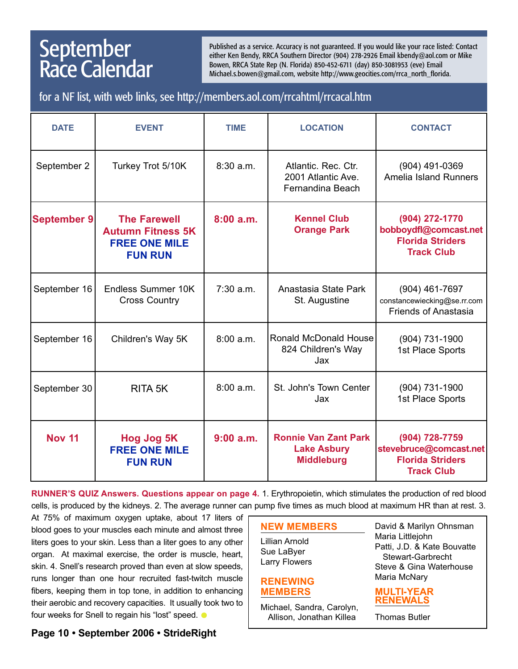## September Race Calendar

Published as a service. Accuracy is not guaranteed. If you would like your race listed: Contact either Ken Bendy, RRCA Southern Director (904) 278-2926 Email kbendy@aol.com or Mike Bowen, RRCA State Rep (N. Florida) 850-452-6711 (day) 850-3081953 (eve) Email Michael.s.bowen@gmail.com, website http://www.geocities.com/rrca\_north\_florida.

for a NF list, with web links, see http://members.aol.com/rrcahtml/rrcacal.htm

| <b>DATE</b>   | <b>EVENT</b>                                                                              | <b>TIME</b> | <b>LOCATION</b>                                                        | <b>CONTACT</b>                                                                           |
|---------------|-------------------------------------------------------------------------------------------|-------------|------------------------------------------------------------------------|------------------------------------------------------------------------------------------|
| September 2   | Turkey Trot 5/10K                                                                         | $8:30$ a.m. | Atlantic, Rec. Ctr.<br>2001 Atlantic Ave.<br>Fernandina Beach          | $(904)$ 491-0369<br><b>Amelia Island Runners</b>                                         |
| September 9   | <b>The Farewell</b><br><b>Autumn Fitness 5K</b><br><b>FREE ONE MILE</b><br><b>FUN RUN</b> | 8:00a.m.    | <b>Kennel Club</b><br><b>Orange Park</b>                               | (904) 272-1770<br>bobboydfl@comcast.net<br><b>Florida Striders</b><br><b>Track Club</b>  |
| September 16  | Endless Summer 10K<br><b>Cross Country</b>                                                | $7:30$ a.m. | Anastasia State Park<br>St. Augustine                                  | (904) 461-7697<br>constancewiecking@se.rr.com<br><b>Friends of Anastasia</b>             |
| September 16  | Children's Way 5K                                                                         | 8:00a.m.    | <b>Ronald McDonald House</b><br>824 Children's Way<br>Jax              | (904) 731-1900<br>1st Place Sports                                                       |
| September 30  | <b>RITA 5K</b>                                                                            | 8:00a.m.    | St. John's Town Center<br>Jax                                          | (904) 731-1900<br>1st Place Sports                                                       |
| <b>Nov 11</b> | <b>Hog Jog 5K</b><br><b>FREE ONE MILE</b><br><b>FUN RUN</b>                               | 9:00a.m.    | <b>Ronnie Van Zant Park</b><br><b>Lake Asbury</b><br><b>Middleburg</b> | (904) 728-7759<br>stevebruce@comcast.net<br><b>Florida Striders</b><br><b>Track Club</b> |

**RUNNER'S QUIZ Answers. Questions appear on page 4.** 1. Erythropoietin, which stimulates the production of red blood cells, is produced by the kidneys. 2. The average runner can pump five times as much blood at maximum HR than at rest. 3.

At 75% of maximum oxygen uptake, about 17 liters of blood goes to your muscles each minute and almost three liters goes to your skin. Less than a liter goes to any other organ. At maximal exercise, the order is muscle, heart, skin. 4. Snell's research proved than even at slow speeds, runs longer than one hour recruited fast-twitch muscle fibers, keeping them in top tone, in addition to enhancing their aerobic and recovery capacities. It usually took two to four weeks for Snell to regain his "lost" speed.  $\bullet$ 

| <b>NEW MEMBERS</b>   |  |
|----------------------|--|
| Lillian Arnold       |  |
| Sue LaByer           |  |
| <b>Larry Flowers</b> |  |
|                      |  |

**RENEWING MEMBERS**

Michael, Sandra, Carolyn, Allison, Jonathan Killea

David & Marilyn Ohnsman Maria Littlejohn Patti, J.D. & Kate Bouvatte Stewart-Garbrecht Steve & Gina Waterhouse Maria McNary

#### **MULTI-YEAR RENEWALS**

Thomas Butler

#### **Page 10 • September 2006 • StrideRight**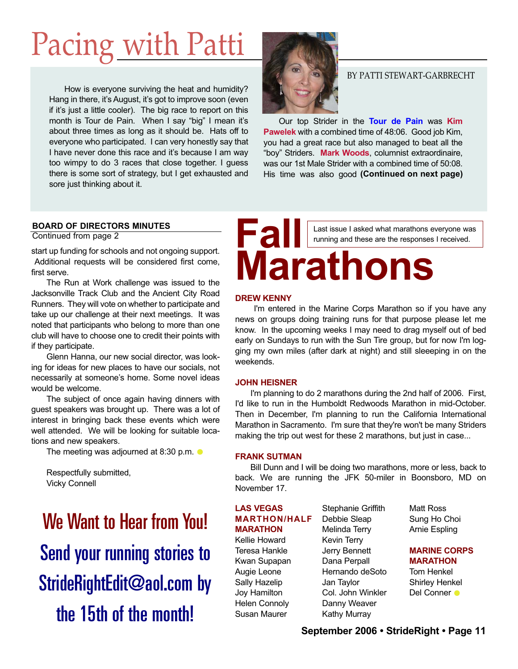## Pacing with Patti

How is everyone surviving the heat and humidity? Hang in there, it's August, it's got to improve soon (even if it's just a little cooler). The big race to report on this month is Tour de Pain. When I say "big" I mean it's about three times as long as it should be. Hats off to everyone who participated. I can very honestly say that I have never done this race and it's because I am way too wimpy to do 3 races that close together. I guess there is some sort of strategy, but I get exhausted and sore just thinking about it.



#### BY PATTI STEWART-GARBRECHT

Our top Strider in the **Tour de Pain** was **Kim Pawelek** with a combined time of 48:06. Good job Kim, you had a great race but also managed to beat all the "boy" Striders. **Mark Woods**, columnist extraordinaire, was our 1st Male Strider with a combined time of 50:08. His time was also good **(Continued on next page)**

#### **BOARD OF DIRECTORS MINUTES**

#### Continued from page 2

start up funding for schools and not ongoing support. Additional requests will be considered first come, first serve.

The Run at Work challenge was issued to the Jacksonville Track Club and the Ancient City Road Runners. They will vote on whether to participate and take up our challenge at their next meetings. It was noted that participants who belong to more than one club will have to choose one to credit their points with if they participate.

Glenn Hanna, our new social director, was looking for ideas for new places to have our socials, not necessarily at someone's home. Some novel ideas would be welcome.

The subject of once again having dinners with guest speakers was brought up. There was a lot of interest in bringing back these events which were well attended. We will be looking for suitable locations and new speakers.

The meeting was adjourned at 8:30 p.m.  $\bullet$ 

Respectfully submitted, Vicky Connell

We Want to Hear from You! Send your running stories to StrideRightEdit@aol.com by the 15th of the month!

### **Fall Marathons** Last issue I asked what marathons everyone was running and these are the responses I received.

#### **DREW KENNY**

I'm entered in the Marine Corps Marathon so if you have any news on groups doing training runs for that purpose please let me know. In the upcoming weeks I may need to drag myself out of bed early on Sundays to run with the Sun Tire group, but for now I'm logging my own miles (after dark at night) and still sleeeping in on the weekends.

#### **JOHN HEISNER**

I'm planning to do 2 marathons during the 2nd half of 2006. First, I'd like to run in the Humboldt Redwoods Marathon in mid-October. Then in December, I'm planning to run the California International Marathon in Sacramento. I'm sure that they're won't be many Striders making the trip out west for these 2 marathons, but just in case...

#### **FRANK SUTMAN**

Bill Dunn and I will be doing two marathons, more or less, back to back. We are running the JFK 50-miler in Boonsboro, MD on November 17.

#### **LAS VEGAS MARTHON/HALF MARATHON**

Kellie Howard Teresa Hankle Kwan Supapan Augie Leone Sally Hazelip Joy Hamilton Helen Connoly Susan Maurer

Stephanie Griffith Debbie Sleap Melinda Terry Kevin Terry Jerry Bennett Dana Perpall Hernando deSoto Jan Taylor Col. John Winkler Danny Weaver Kathy Murray

Matt Ross Sung Ho Choi Arnie Espling

#### **MARINE CORPS MARATHON**

Tom Henkel Shirley Henkel Del Conner **O**